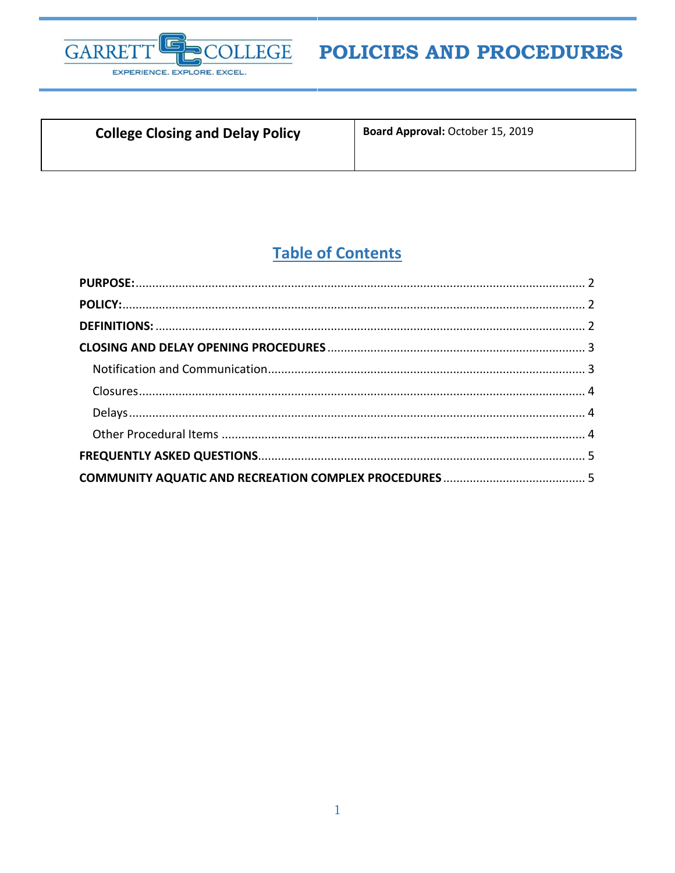

# POLICIES AND PROCEDURES

### **College Closing and Delay Policy**

Board Approval: October 15, 2019

## **Table of Contents**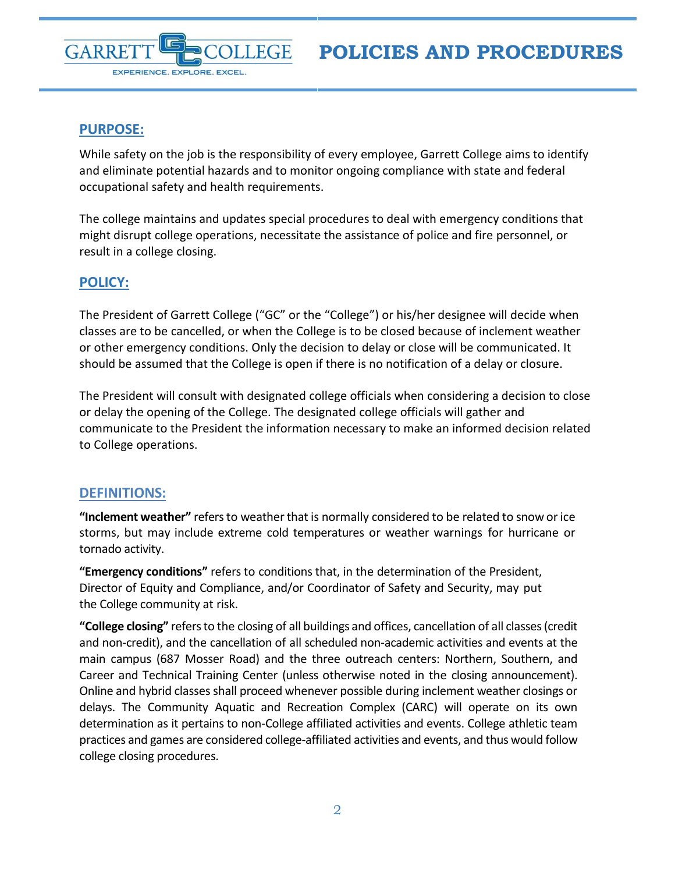<span id="page-1-0"></span>

EXPERIENCE. EXPLORE. EXCEL.

GARRE

While safety on the job is the responsibility of every employee, Garrett College aims to identify and eliminate potential hazards and to monitor ongoing compliance with state and federal occupational safety and health requirements.

The college maintains and updates special procedures to deal with emergency conditions that might disrupt college operations, necessitate the assistance of police and fire personnel, or result in a college closing.

#### <span id="page-1-1"></span>**POLICY:**

The President of Garrett College ("GC" or the "College") or his/her designee will decide when classes are to be cancelled, or when the College is to be closed because of inclement weather or other emergency conditions. Only the decision to delay or close will be communicated. It should be assumed that the College is open if there is no notification of a delay or closure.

The President will consult with designated college officials when considering a decision to close or delay the opening of the College. The designated college officials will gather and communicate to the President the information necessary to make an informed decision related to College operations.

#### <span id="page-1-2"></span>**DEFINITIONS:**

**"Inclement weather"** refers to weather that is normally considered to be related to snow orice storms, but may include extreme cold temperatures or weather warnings for hurricane or tornado activity.

**"Emergency conditions"** refers to conditions that, in the determination of the President, Director of Equity and Compliance, and/or Coordinator of Safety and Security, may put the College community at risk.

**"College closing"** refers to the closing of all buildings and offices, cancellation of all classes (credit and non-credit), and the cancellation of all scheduled non-academic activities and events at the main campus (687 Mosser Road) and the three outreach centers: Northern, Southern, and Career and Technical Training Center (unless otherwise noted in the closing announcement). Online and hybrid classes shall proceed whenever possible during inclement weather closings or delays. The Community Aquatic and Recreation Complex (CARC) will operate on its own determination as it pertains to non-College affiliated activities and events. College athletic team practices and games are considered college-affiliated activities and events, and thus would follow college closing procedures.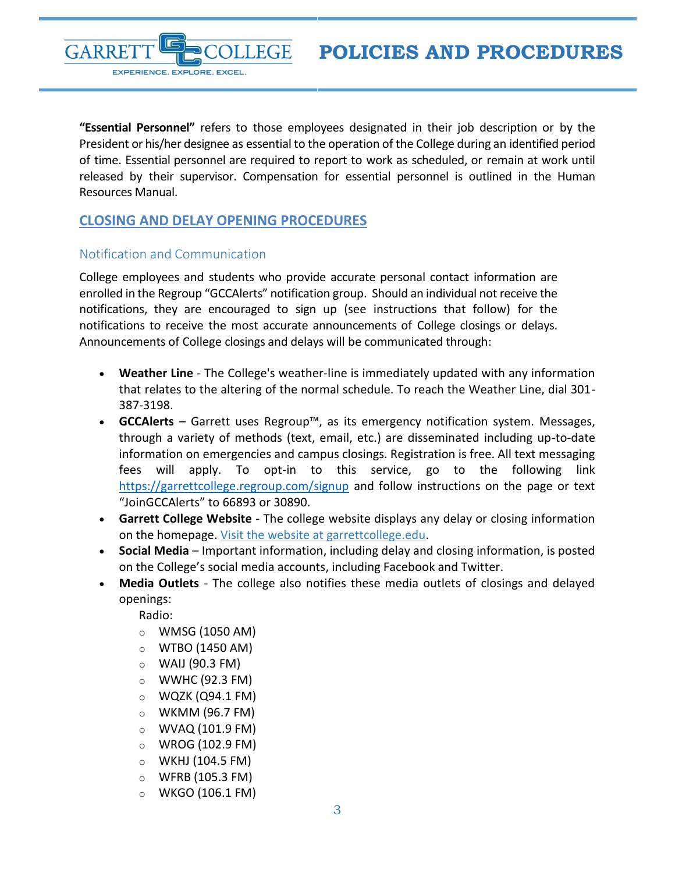**POLICIES AND PROCEDURES**



**"Essential Personnel"** refers to those employees designated in their job description or by the President or his/her designee as essential to the operation of the College during an identified period of time. Essential personnel are required to report to work as scheduled, or remain at work until released by their supervisor. Compensation for essential personnel is outlined in the Human Resources Manual.

#### <span id="page-2-0"></span>**CLOSING AND DELAY OPENING PROCEDURES**

#### <span id="page-2-1"></span>Notification and Communication

College employees and students who provide accurate personal contact information are enrolled in the Regroup "GCCAlerts" notification group. Should an individual not receive the notifications, they are encouraged to sign up (see instructions that follow) for the notifications to receive the most accurate announcements of College closings or delays. Announcements of College closings and delays will be communicated through:

- **Weather Line** The College's weather-line is immediately updated with any information that relates to the altering of the normal schedule. To reach the Weather Line, dial 301- 387-3198.
- **GCCAlerts**  Garrett uses Regroup™, as its emergency notification system. Messages, through a variety of methods (text, email, etc.) are disseminated including up-to-date information on emergencies and campus closings. Registration is free. All text messaging fees will apply. To opt-in to this service, go to the following link <https://garrettcollege.regroup.com/signup> and follow instructions on the page or text "JoinGCCAlerts" to 66893 or 30890.
- **Garrett College Website** The college website displays any delay or closing information on the homepage. [Visit the website at garrettcollege.edu.](https://www.garrettcollege.edu/index.php)
- **Social Media** Important information, including delay and closing information, is posted on the College's social media accounts, including Facebook and Twitter.
- **Media Outlets** The college also notifies these media outlets of closings and delayed openings:

Radio:

- $\circ$  WMSG (1050 AM)
- $\circ$  WTBO (1450 AM)
- $\circ$  WAIJ (90.3 FM)
- $\circ$  WWHC (92.3 FM)
- $\circ$  WQZK (Q94.1 FM)
- $\circ$  WKMM (96.7 FM)
- $\circ$  WVAQ (101.9 FM)
- o WROG (102.9 FM)
- $\circ$  WKHJ (104.5 FM)
- $\circ$  WFRB (105.3 FM)
- $\circ$  WKGO (106.1 FM)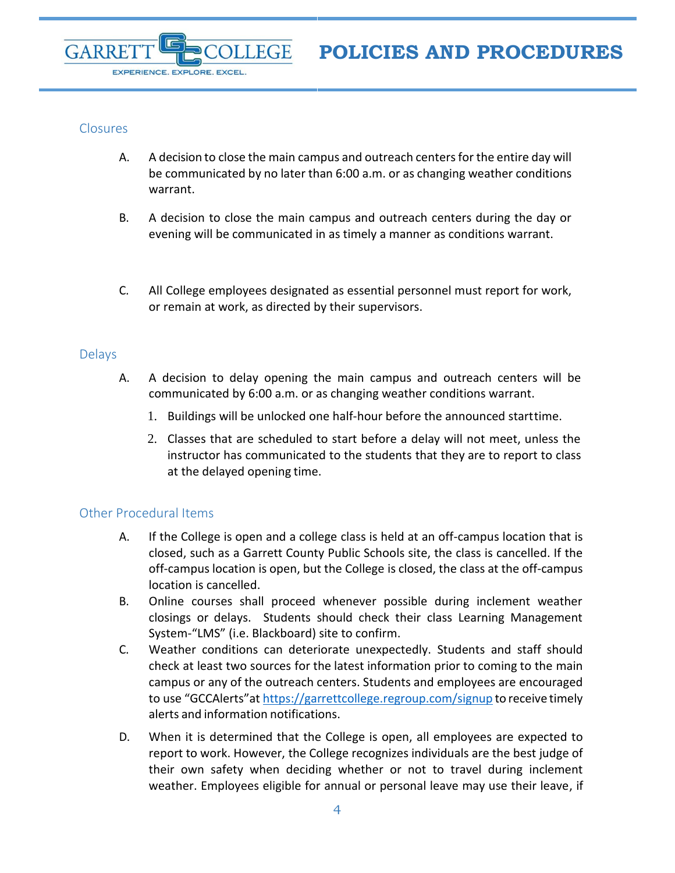#### <span id="page-3-0"></span>**Closures**

EXPERIENCE. EXPLORE. EXCEL.

GARRF

- A. A decision to close the main campus and outreach centersfor the entire day will be communicated by no later than 6:00 a.m. or as changing weather conditions warrant.
- B. A decision to close the main campus and outreach centers during the day or evening will be communicated in as timely a manner as conditions warrant.
- C. All College employees designated as essential personnel must report for work, or remain at work, as directed by their supervisors.

#### <span id="page-3-1"></span>Delays

- A. A decision to delay opening the main campus and outreach centers will be communicated by 6:00 a.m. or as changing weather conditions warrant.
	- 1. Buildings will be unlocked one half-hour before the announced starttime.
	- 2. Classes that are scheduled to start before a delay will not meet, unless the instructor has communicated to the students that they are to report to class at the delayed opening time.

#### <span id="page-3-2"></span>Other Procedural Items

- A. If the College is open and a college class is held at an off-campus location that is closed, such as a Garrett County Public Schools site, the class is cancelled. If the off-campus location is open, but the College is closed, the class at the off-campus location is cancelled.
- B. Online courses shall proceed whenever possible during inclement weather closings or delays. Students should check their class Learning Management System-"LMS" (i.e. Blackboard) site to confirm.
- C. Weather conditions can deteriorate unexpectedly. Students and staff should check at least two sources for the latest information prior to coming to the main campus or any of the outreach centers. Students and employees are encouraged to use "GCCAlerts"at <https://garrettcollege.regroup.com/signup> to receive timely alerts and information notifications.
- D. When it is determined that the College is open, all employees are expected to report to work. However, the College recognizes individuals are the best judge of their own safety when deciding whether or not to travel during inclement weather. Employees eligible for annual or personal leave may use their leave, if